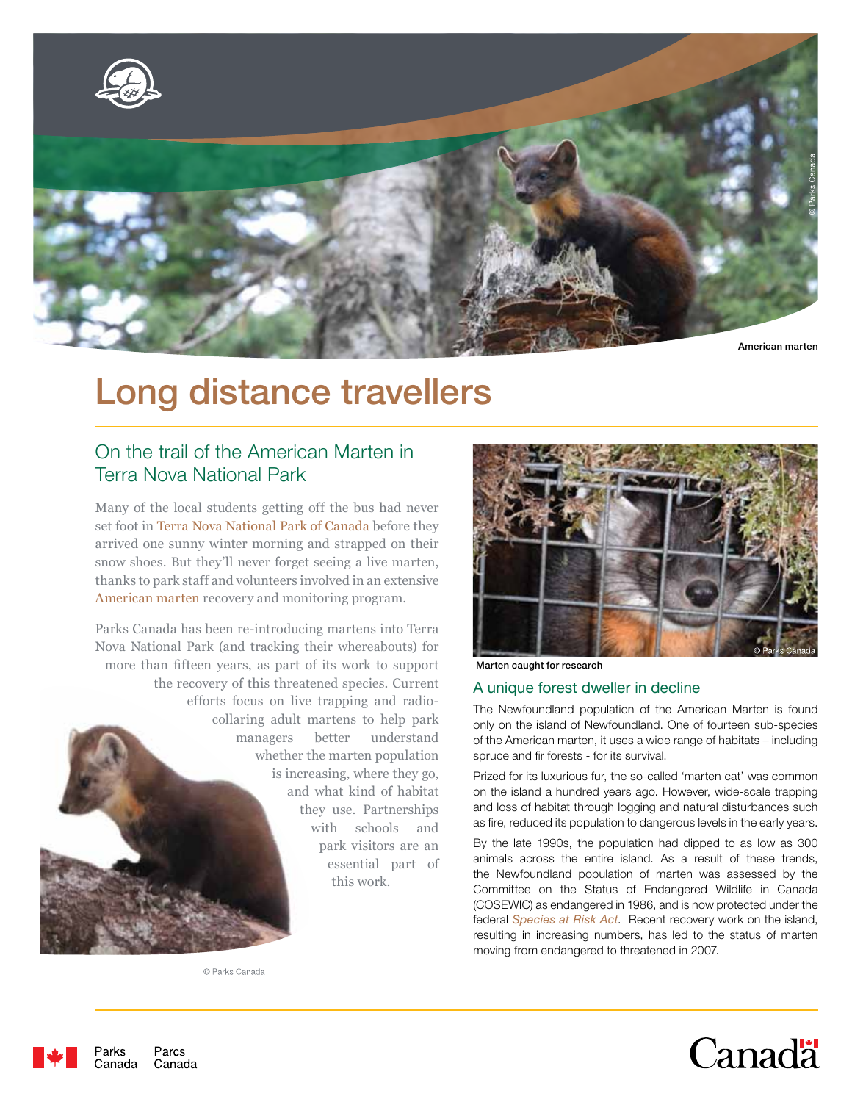

# Long distance travellers

# On the trail of the American Marten in Terra Nova National Park

Many of the local students getting off the bus had never set foot in Terra Nova National Park of Canada before they arrived one sunny winter morning and strapped on their snow shoes. But they'll never forget seeing a live marten, thanks to park staff and volunteers involved in an extensive American marten recovery and monitoring program.

Parks Canada has been re-introducing martens into Terra Nova National Park (and tracking their whereabouts) for more than fifteen years, as part of its work to support the recovery of this threatened species. Current efforts focus on live trapping and radiocollaring adult martens to help park managers better understand whether the marten population is increasing, where they go, and what kind of habitat they use. Partnerships with schools and park visitors are an essential part of this work.



Marten caught for research

#### A unique forest dweller in decline

The Newfoundland population of the American Marten is found only on the island of Newfoundland. One of fourteen sub-species of the American marten, it uses a wide range of habitats – including spruce and fir forests - for its survival.

Prized for its luxurious fur, the so-called 'marten cat' was common on the island a hundred years ago. However, wide-scale trapping and loss of habitat through logging and natural disturbances such as fire, reduced its population to dangerous levels in the early years.

By the late 1990s, the population had dipped to as low as 300 animals across the entire island. As a result of these trends, the Newfoundland population of marten was assessed by the Committee on the Status of Endangered Wildlife in Canada (COSEWIC) as endangered in 1986, and is now protected under the federal *Species at Risk Act*. Recent recovery work on the island, resulting in increasing numbers, has led to the status of marten moving from endangered to threatened in 2007.

© Parks Canada